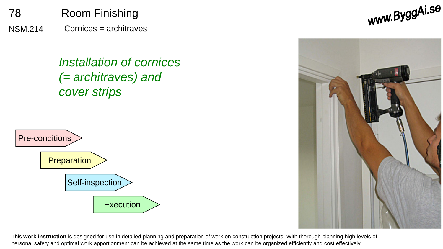

*Installation of cornices (= architraves) and cover strips* 





This **work instruction** is designed for use in detailed planning and preparation of work on construction projects. With thorough planning high levels of personal safety and optimal work apportionment can be achieved at the same time as the work can be organized efficiently and cost effectively.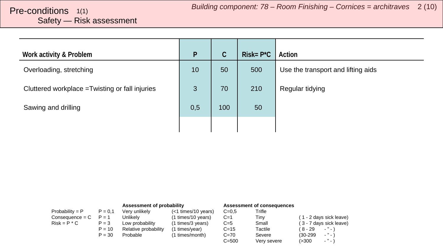# <span id="page-1-0"></span>Safety — Risk assessment

| Work activity & Problem                         | P   | $\mathsf{C}$ | $Risk = P^*C$ | Action                             |
|-------------------------------------------------|-----|--------------|---------------|------------------------------------|
| Overloading, stretching                         | 10  | 50           | 500           | Use the transport and lifting aids |
| Cluttered workplace = Twisting or fall injuries | 3   | 70           | 210           | Regular tidying                    |
| Sawing and drilling                             | 0,5 | 100          | 50            |                                    |
|                                                 |     |              |               |                                    |

|                   |           | Assessment of probability |                     |           | Assessment of consequences |                                   |
|-------------------|-----------|---------------------------|---------------------|-----------|----------------------------|-----------------------------------|
| Probability = $P$ | $P = 0.1$ | Very unlikely             | (<1 times/10 years) | $C = 0.5$ | Trifle                     |                                   |
| $Consequence = C$ | $P = 1$   | Unlikelv                  | (1 times/10 years)  | $C=1$     | Tinv                       | (1 - 2 days sick leave)           |
| $Risk = P * C$    | $P = 3$   | Low probability           | (1 times/3 years)   | $C=5$     | Small                      | (3 - 7 days sick leave)           |
|                   | $P = 10$  | Relative probability      | (1 times/year)      | $C = 15$  | Tactile                    | (8-29<br>$ "$ $ \rangle$          |
|                   | $P = 30$  | Probable                  | (1 times/month)     | $C = 70$  | Severe                     | $\cdot$ " $\cdot$ )<br>$(30-299)$ |
|                   |           |                           |                     | $C = 500$ | Very severe                | $ "$ $ )$<br>(>300                |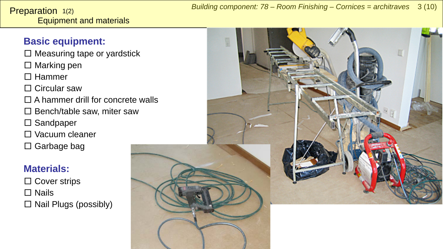<span id="page-2-0"></span>Equipment and materials Preparation 1(2)

 $\square$  Measuring tape or yardstick

 $\square$  Marking pen

□ Hammer

□ Circular saw

 $\Box$  A hammer drill for concrete walls

 $\square$  Bench/table saw, miter saw

□ Sandpaper

□ Vacuum cleaner

 $\square$  Garbage bag

## **Materials:**

□ Cover strips □ Nails  $\Box$  Nail Plugs (possibly)

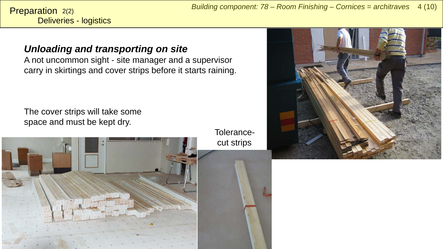Deliveries - logistics Preparation 2(2)

## *Unloading and transporting on site*

A not uncommon sight - site manager and a supervisor carry in skirtings and cover strips before it starts raining.

The cover strips will take some space and must be kept dry.

> Tolerancecut strips



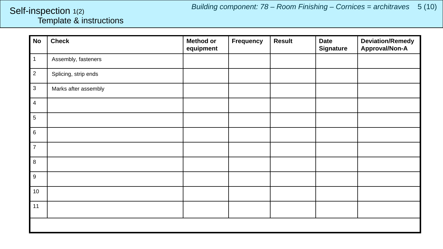## <span id="page-4-0"></span>Template & instructions Self-inspection 1(2)

| <b>No</b>        | <b>Check</b>         | <b>Method or</b><br>equipment | Frequency | <b>Result</b> | <b>Date</b><br><b>Signature</b> | <b>Deviation/Remedy</b><br><b>Approval/Non-A</b> |
|------------------|----------------------|-------------------------------|-----------|---------------|---------------------------------|--------------------------------------------------|
| $\mathbf{1}$     | Assembly, fasteners  |                               |           |               |                                 |                                                  |
| $\overline{2}$   | Splicing, strip ends |                               |           |               |                                 |                                                  |
| $\mathbf{3}$     | Marks after assembly |                               |           |               |                                 |                                                  |
| 4                |                      |                               |           |               |                                 |                                                  |
| 5                |                      |                               |           |               |                                 |                                                  |
| 6                |                      |                               |           |               |                                 |                                                  |
| $\overline{7}$   |                      |                               |           |               |                                 |                                                  |
| 8                |                      |                               |           |               |                                 |                                                  |
| $\boldsymbol{9}$ |                      |                               |           |               |                                 |                                                  |
| $10$             |                      |                               |           |               |                                 |                                                  |
| 11               |                      |                               |           |               |                                 |                                                  |
|                  |                      |                               |           |               |                                 |                                                  |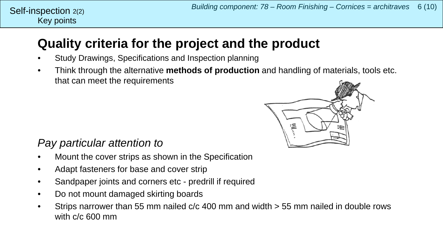## Key points Self-inspection  $2(2)$

## **Quality criteria for the project and the product**

- Study Drawings, Specifications and Inspection planning
- Think through the alternative **methods of production** and handling of materials, tools etc. that can meet the requirements



## *Pay particular attention to*

- Mount the cover strips as shown in the Specification
- Adapt fasteners for base and cover strip
- Sandpaper joints and corners etc predrill if required
- Do not mount damaged skirting boards
- Strips narrower than 55 mm nailed c/c 400 mm and width > 55 mm nailed in double rows with c/c 600 mm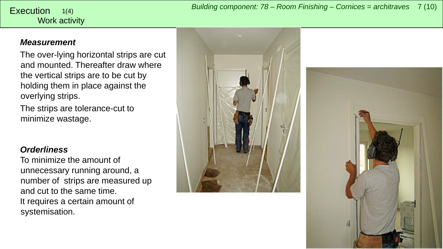#### <span id="page-6-0"></span>Work activity 1(4)

### *Measurement*

The over-lying horizontal strips are cut and mounted. Thereafter draw where the vertical strips are to be cut by holding them in place against the overlying strips.

The strips are tolerance-cut to minimize wastage.

### *Orderliness*

To minimize the amount of unnecessary running around, a number of strips are measured up and cut to the same time. It requires a certain amount of systemisation.



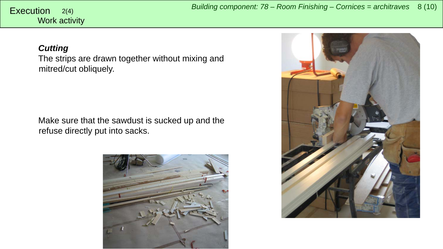# Work activity

#### *Cutting*

The strips are drawn together without mixing and mitred/cut obliquely.

Make sure that the sawdust is sucked up and the refuse directly put into sacks.



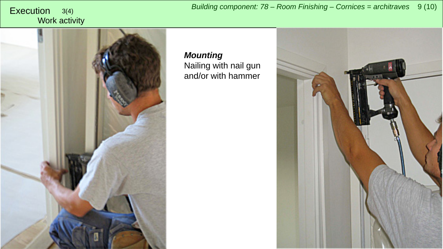Work activity

*Building component: 78 – Room Finishing – Cornices = architraves* <sup>9</sup> (10) Execution 3(4)



*Mounting* Nailing with nail gun and/or with hammer